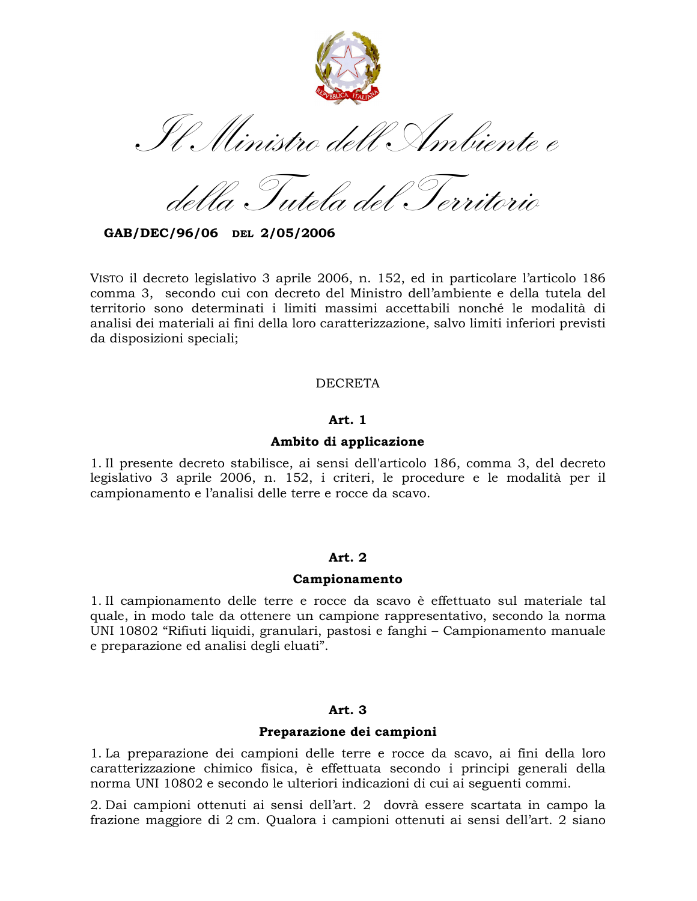

Tutela del Territorio

GAB/DEC/96/06 DEL 2/05/2006

VISTO il decreto legislativo 3 aprile 2006, n. 152, ed in particolare l'articolo 186 comma 3, secondo cui con decreto del Ministro dell'ambiente e della tutela del territorio sono determinati i limiti massimi accettabili nonché le modalità di analisi dei materiali ai fini della loro caratterizzazione, salvo limiti inferiori previsti da disposizioni speciali;

### **DECRETA**

## Art. 1

## Ambito di applicazione

1. Il presente decreto stabilisce, ai sensi dell'articolo 186, comma 3, del decreto legislativo 3 aprile 2006, n. 152, i criteri, le procedure e le modalità per il campionamento e l'analisi delle terre e rocce da scavo.

### Art. 2

### Campionamento

1. Il campionamento delle terre e rocce da scavo è effettuato sul materiale tal quale, in modo tale da ottenere un campione rappresentativo, secondo la norma UNI 10802 "Rifiuti liquidi, granulari, pastosi e fanghi – Campionamento manuale e preparazione ed analisi degli eluati".

# Art. 3

### Preparazione dei campioni

1. La preparazione dei campioni delle terre e rocce da scavo, ai fini della loro caratterizzazione chimico fisica, è effettuata secondo i principi generali della norma UNI 10802 e secondo le ulteriori indicazioni di cui ai seguenti commi.

2. Dai campioni ottenuti ai sensi dell'art. 2 dovrà essere scartata in campo la frazione maggiore di 2 cm. Qualora i campioni ottenuti ai sensi dell'art. 2 siano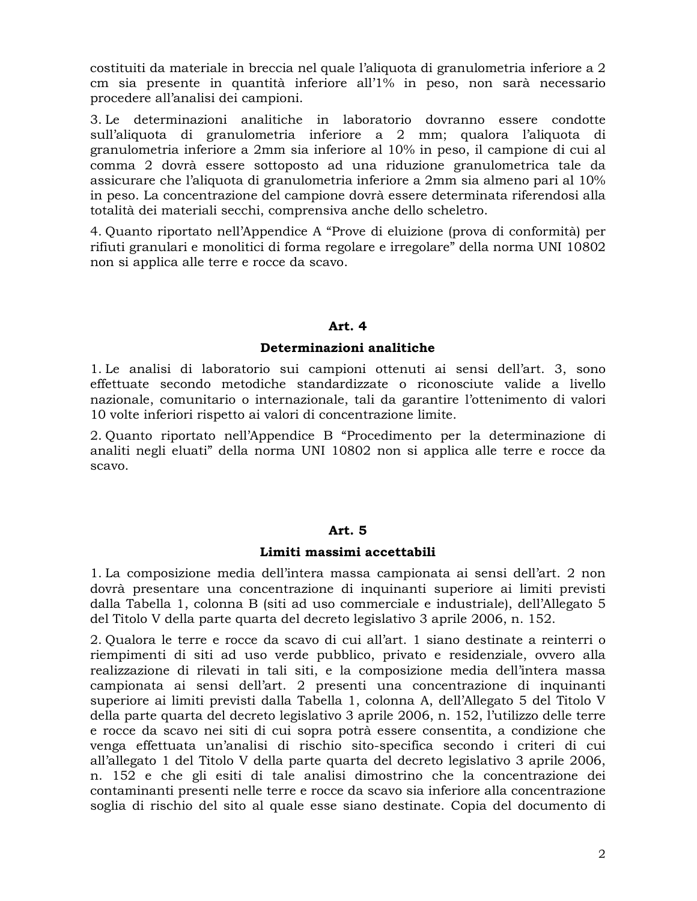costituiti da materiale in breccia nel quale l'aliquota di granulometria inferiore a 2 cm sia presente in quantità inferiore all'1% in peso, non sarà necessario procedere all'analisi dei campioni.

3. Le determinazioni analitiche in laboratorio dovranno essere condotte sull'aliquota di granulometria inferiore a 2 mm; qualora l'aliquota di granulometria inferiore a 2mm sia inferiore al 10% in peso, il campione di cui al comma 2 dovrà essere sottoposto ad una riduzione granulometrica tale da assicurare che l'aliquota di granulometria inferiore a 2mm sia almeno pari al 10% in peso. La concentrazione del campione dovrà essere determinata riferendosi alla totalità dei materiali secchi, comprensiva anche dello scheletro.

4. Quanto riportato nell'Appendice A "Prove di eluizione (prova di conformità) per rifiuti granulari e monolitici di forma regolare e irregolare" della norma UNI 10802 non si applica alle terre e rocce da scavo.

## Art. 4

### Determinazioni analitiche

1. Le analisi di laboratorio sui campioni ottenuti ai sensi dell'art. 3, sono effettuate secondo metodiche standardizzate o riconosciute valide a livello nazionale, comunitario o internazionale, tali da garantire l'ottenimento di valori 10 volte inferiori rispetto ai valori di concentrazione limite.

2. Quanto riportato nell'Appendice B "Procedimento per la determinazione di analiti negli eluati" della norma UNI 10802 non si applica alle terre e rocce da scavo.

### Art. 5

#### Limiti massimi accettabili

1. La composizione media dell'intera massa campionata ai sensi dell'art. 2 non dovrà presentare una concentrazione di inquinanti superiore ai limiti previsti dalla Tabella 1, colonna B (siti ad uso commerciale e industriale), dell'Allegato 5 del Titolo V della parte quarta del decreto legislativo 3 aprile 2006, n. 152.

2. Qualora le terre e rocce da scavo di cui all'art. 1 siano destinate a reinterri o riempimenti di siti ad uso verde pubblico, privato e residenziale, ovvero alla realizzazione di rilevati in tali siti, e la composizione media dell'intera massa campionata ai sensi dell'art. 2 presenti una concentrazione di inquinanti superiore ai limiti previsti dalla Tabella 1, colonna A, dell'Allegato 5 del Titolo V della parte quarta del decreto legislativo 3 aprile 2006, n. 152, l'utilizzo delle terre e rocce da scavo nei siti di cui sopra potrà essere consentita, a condizione che venga effettuata un'analisi di rischio sito-specifica secondo i criteri di cui all'allegato 1 del Titolo V della parte quarta del decreto legislativo 3 aprile 2006, n. 152 e che gli esiti di tale analisi dimostrino che la concentrazione dei contaminanti presenti nelle terre e rocce da scavo sia inferiore alla concentrazione soglia di rischio del sito al quale esse siano destinate. Copia del documento di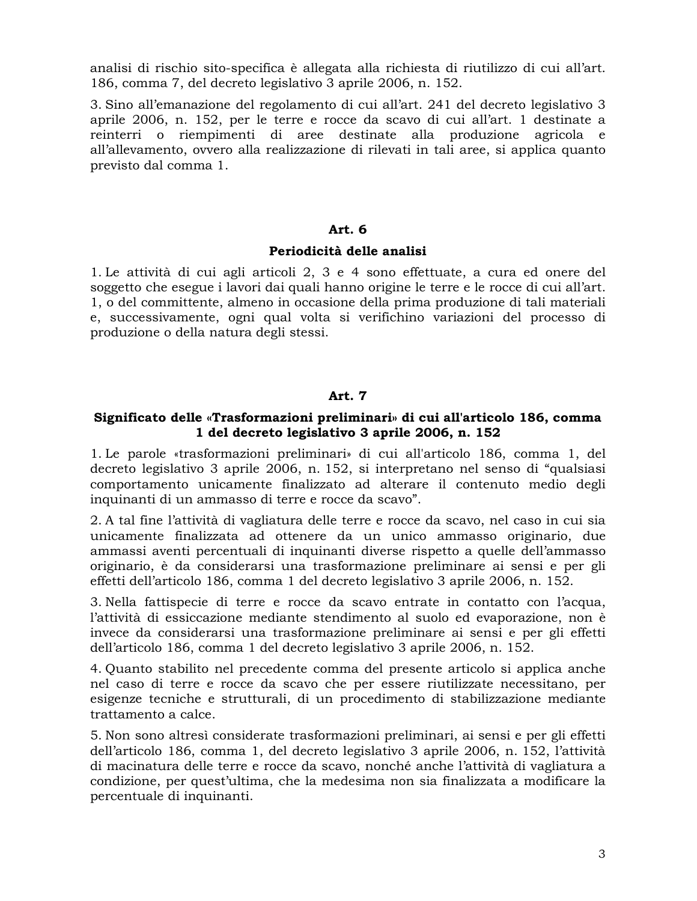analisi di rischio sito-specifica è allegata alla richiesta di riutilizzo di cui all'art. 186, comma 7, del decreto legislativo 3 aprile 2006, n. 152.

3. Sino all'emanazione del regolamento di cui all'art. 241 del decreto legislativo 3 aprile 2006, n. 152, per le terre e rocce da scavo di cui all'art. 1 destinate a reinterri o riempimenti di aree destinate alla produzione agricola e all'allevamento, ovvero alla realizzazione di rilevati in tali aree, si applica quanto previsto dal comma 1.

### Art.  $6$

### Periodicità delle analisi

1. Le attività di cui agli articoli 2, 3 e 4 sono effettuate, a cura ed onere del soggetto che esegue i lavori dai quali hanno origine le terre e le rocce di cui all'art. 1, o del committente, almeno in occasione della prima produzione di tali materiali e, successivamente, ogni qual volta si verifichino variazioni del processo di produzione o della natura degli stessi.

# Art. 7

### Significato delle «Trasformazioni preliminari» di cui all'articolo 186, comma 1 del decreto legislativo 3 aprile 2006, n. 152

1. Le parole «trasformazioni preliminari» di cui all'articolo 186, comma 1, del decreto legislativo 3 aprile 2006, n. 152, si interpretano nel senso di "qualsiasi comportamento unicamente finalizzato ad alterare il contenuto medio degli inquinanti di un ammasso di terre e rocce da scavo".

2. A tal fine l'attività di vagliatura delle terre e rocce da scavo, nel caso in cui sia unicamente finalizzata ad ottenere da un unico ammasso originario, due ammassi aventi percentuali di inquinanti diverse rispetto a quelle dell'ammasso originario, è da considerarsi una trasformazione preliminare ai sensi e per gli effetti dell'articolo 186, comma 1 del decreto legislativo 3 aprile 2006, n. 152.

3. Nella fattispecie di terre e rocce da scavo entrate in contatto con l'acqua, l'attività di essiccazione mediante stendimento al suolo ed evaporazione, non è invece da considerarsi una trasformazione preliminare ai sensi e per gli effetti dell'articolo 186, comma 1 del decreto legislativo 3 aprile 2006, n. 152.

4. Quanto stabilito nel precedente comma del presente articolo si applica anche nel caso di terre e rocce da scavo che per essere riutilizzate necessitano, per esigenze tecniche e strutturali, di un procedimento di stabilizzazione mediante trattamento a calce.

5. Non sono altresì considerate trasformazioni preliminari, ai sensi e per gli effetti dell'articolo 186, comma 1, del decreto legislativo 3 aprile 2006, n. 152, l'attività di macinatura delle terre e rocce da scavo, nonché anche l'attività di vagliatura a condizione, per quest'ultima, che la medesima non sia finalizzata a modificare la percentuale di inquinanti.